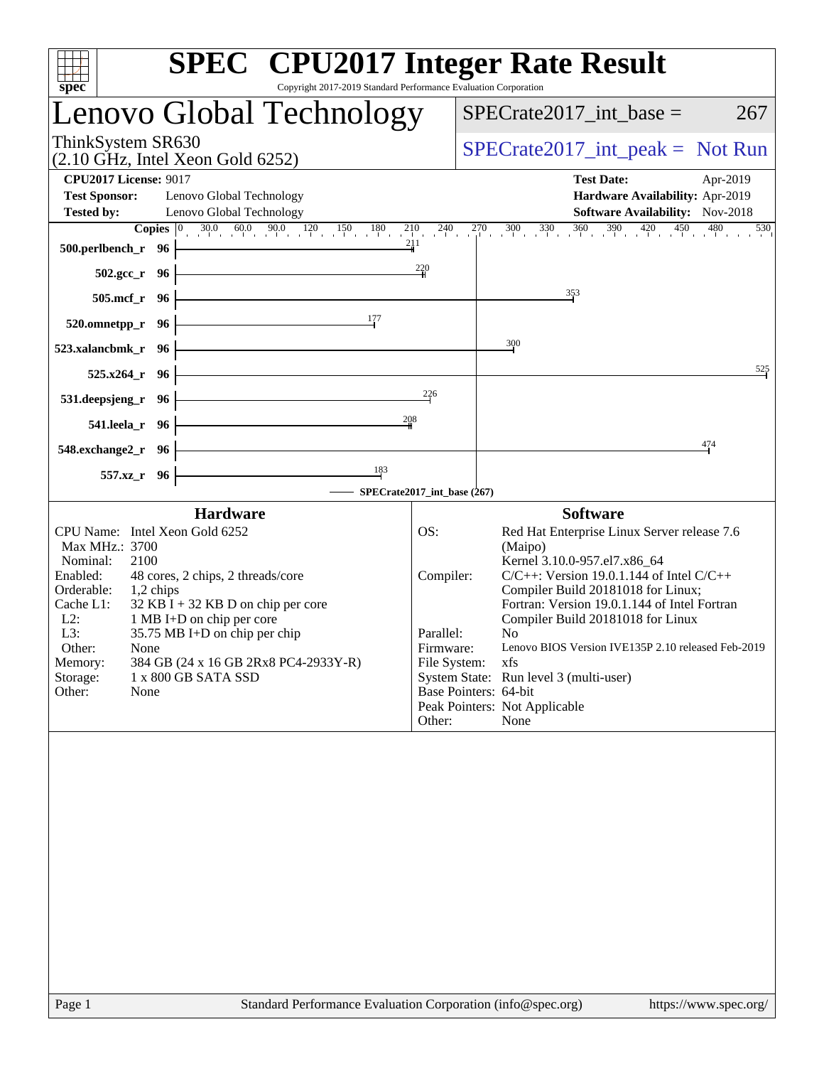| <b>SPEC<sup>®</sup></b> CPU2017 Integer Rate Result<br>Copyright 2017-2019 Standard Performance Evaluation Corporation                                                                                                                                                                                                                                                                                                                                                                                                                        |
|-----------------------------------------------------------------------------------------------------------------------------------------------------------------------------------------------------------------------------------------------------------------------------------------------------------------------------------------------------------------------------------------------------------------------------------------------------------------------------------------------------------------------------------------------|
| Lenovo Global Technology<br>$SPECrate2017\_int\_base =$<br>267                                                                                                                                                                                                                                                                                                                                                                                                                                                                                |
| $SPECTate2017\_int\_peak = Not Run$                                                                                                                                                                                                                                                                                                                                                                                                                                                                                                           |
| <b>Test Date:</b><br>Apr-2019                                                                                                                                                                                                                                                                                                                                                                                                                                                                                                                 |
| Hardware Availability: Apr-2019                                                                                                                                                                                                                                                                                                                                                                                                                                                                                                               |
| Software Availability: Nov-2018<br><b>Copies</b> $\begin{bmatrix} 0 & 30.0 & 60.0 & 90.0 & 120 & 150 & 180 & 210 & 240 & 270 & 300 & 330 & 360 & 390 & 420 & 450 & 480 & 530 \end{bmatrix}$                                                                                                                                                                                                                                                                                                                                                   |
| 211                                                                                                                                                                                                                                                                                                                                                                                                                                                                                                                                           |
| $\frac{220}{4}$                                                                                                                                                                                                                                                                                                                                                                                                                                                                                                                               |
| 353<br><u> 1980 - Johann Stoff, deutscher Stoffen und der Stoffen und der Stoffen und der Stoffen und der Stoffen und de</u>                                                                                                                                                                                                                                                                                                                                                                                                                  |
|                                                                                                                                                                                                                                                                                                                                                                                                                                                                                                                                               |
| 300                                                                                                                                                                                                                                                                                                                                                                                                                                                                                                                                           |
| 525                                                                                                                                                                                                                                                                                                                                                                                                                                                                                                                                           |
| 226<br><u> 1989 - Johann Stoff, deutscher Stoffen und der Stoffen und der Stoffen und der Stoffen und der Stoffen und der</u>                                                                                                                                                                                                                                                                                                                                                                                                                 |
| 208                                                                                                                                                                                                                                                                                                                                                                                                                                                                                                                                           |
| <u> 1980 - Johann Barn, amerikansk politiker (</u><br>474                                                                                                                                                                                                                                                                                                                                                                                                                                                                                     |
| -SPECrate2017_int_base (267)                                                                                                                                                                                                                                                                                                                                                                                                                                                                                                                  |
|                                                                                                                                                                                                                                                                                                                                                                                                                                                                                                                                               |
| <b>Software</b><br>Red Hat Enterprise Linux Server release 7.6<br>OS:<br>(Maipo)<br>Kernel 3.10.0-957.el7.x86_64<br>$C/C++$ : Version 19.0.1.144 of Intel $C/C++$<br>Compiler:<br>Compiler Build 20181018 for Linux;<br>Fortran: Version 19.0.1.144 of Intel Fortran<br>Compiler Build 20181018 for Linux<br>Parallel:<br>No.<br>Firmware:<br>Lenovo BIOS Version IVE135P 2.10 released Feb-2019<br>File System:<br>xfs<br>System State: Run level 3 (multi-user)<br>Base Pointers: 64-bit<br>Peak Pointers: Not Applicable<br>Other:<br>None |
|                                                                                                                                                                                                                                                                                                                                                                                                                                                                                                                                               |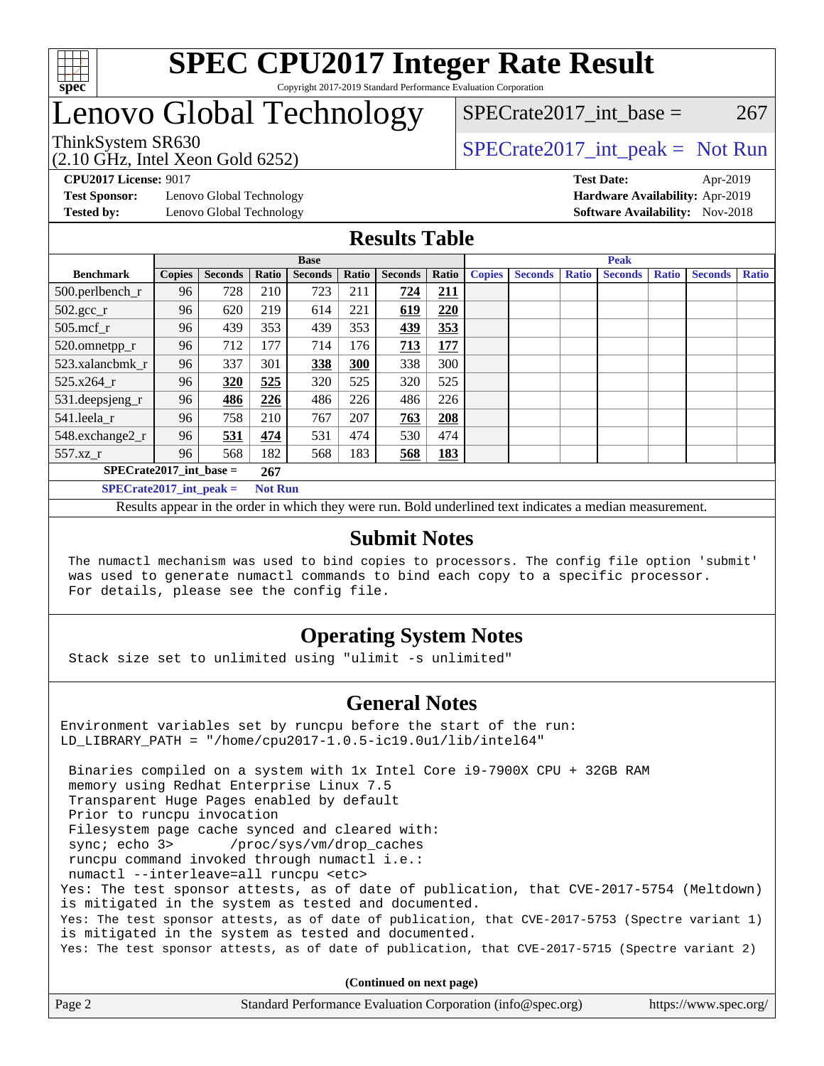

# Lenovo Global Technology

(2.10 GHz, Intel Xeon Gold 6252)

ThinkSystem SR630<br>  $SPECTR_{10}$  [SPECrate2017\\_int\\_peak =](http://www.spec.org/auto/cpu2017/Docs/result-fields.html#SPECrate2017intpeak) Not Run

SPECrate2017 int\_base =  $267$ 

**[Test Sponsor:](http://www.spec.org/auto/cpu2017/Docs/result-fields.html#TestSponsor)** Lenovo Global Technology **[Hardware Availability:](http://www.spec.org/auto/cpu2017/Docs/result-fields.html#HardwareAvailability)** Apr-2019

**[CPU2017 License:](http://www.spec.org/auto/cpu2017/Docs/result-fields.html#CPU2017License)** 9017 **[Test Date:](http://www.spec.org/auto/cpu2017/Docs/result-fields.html#TestDate)** Apr-2019 **[Tested by:](http://www.spec.org/auto/cpu2017/Docs/result-fields.html#Testedby)** Lenovo Global Technology **[Software Availability:](http://www.spec.org/auto/cpu2017/Docs/result-fields.html#SoftwareAvailability)** Nov-2018

### **[Results Table](http://www.spec.org/auto/cpu2017/Docs/result-fields.html#ResultsTable)**

|                                               | <b>Base</b>   |                |       |                | <b>Peak</b> |                |       |               |                |       |                |              |                |              |
|-----------------------------------------------|---------------|----------------|-------|----------------|-------------|----------------|-------|---------------|----------------|-------|----------------|--------------|----------------|--------------|
| <b>Benchmark</b>                              | <b>Copies</b> | <b>Seconds</b> | Ratio | <b>Seconds</b> | Ratio       | <b>Seconds</b> | Ratio | <b>Copies</b> | <b>Seconds</b> | Ratio | <b>Seconds</b> | <b>Ratio</b> | <b>Seconds</b> | <b>Ratio</b> |
| 500.perlbench_r                               | 96            | 728            | 210   | 723            | 211         | 724            | 211   |               |                |       |                |              |                |              |
| $502.\text{gcc}_r$                            | 96            | 620            | 219   | 614            | 221         | 619            | 220   |               |                |       |                |              |                |              |
| $505$ .mcf $r$                                | 96            | 439            | 353   | 439            | 353         | 439            | 353   |               |                |       |                |              |                |              |
| 520.omnetpp_r                                 | 96            | 712            | 177   | 714            | 176         | 713            | 177   |               |                |       |                |              |                |              |
| 523.xalancbmk_r                               | 96            | 337            | 301   | 338            | 300         | 338            | 300   |               |                |       |                |              |                |              |
| 525.x264 r                                    | 96            | 320            | 525   | 320            | 525         | 320            | 525   |               |                |       |                |              |                |              |
| 531.deepsjeng_r                               | 96            | 486            | 226   | 486            | 226         | 486            | 226   |               |                |       |                |              |                |              |
| 541.leela r                                   | 96            | 758            | 210   | 767            | 207         | 763            | 208   |               |                |       |                |              |                |              |
| 548.exchange2_r                               | 96            | 531            | 474   | 531            | 474         | 530            | 474   |               |                |       |                |              |                |              |
| 557.xz r                                      | 96            | 568            | 182   | 568            | 183         | 568            | 183   |               |                |       |                |              |                |              |
| $SPECrate2017$ int base =                     |               |                | 267   |                |             |                |       |               |                |       |                |              |                |              |
| $SPECrate2017\_int\_peak =$<br><b>Not Run</b> |               |                |       |                |             |                |       |               |                |       |                |              |                |              |

Results appear in the [order in which they were run](http://www.spec.org/auto/cpu2017/Docs/result-fields.html#RunOrder). Bold underlined text [indicates a median measurement](http://www.spec.org/auto/cpu2017/Docs/result-fields.html#Median).

#### **[Submit Notes](http://www.spec.org/auto/cpu2017/Docs/result-fields.html#SubmitNotes)**

 The numactl mechanism was used to bind copies to processors. The config file option 'submit' was used to generate numactl commands to bind each copy to a specific processor. For details, please see the config file.

## **[Operating System Notes](http://www.spec.org/auto/cpu2017/Docs/result-fields.html#OperatingSystemNotes)**

Stack size set to unlimited using "ulimit -s unlimited"

### **[General Notes](http://www.spec.org/auto/cpu2017/Docs/result-fields.html#GeneralNotes)**

Environment variables set by runcpu before the start of the run: LD\_LIBRARY\_PATH = "/home/cpu2017-1.0.5-ic19.0u1/lib/intel64"

 Binaries compiled on a system with 1x Intel Core i9-7900X CPU + 32GB RAM memory using Redhat Enterprise Linux 7.5 Transparent Huge Pages enabled by default Prior to runcpu invocation Filesystem page cache synced and cleared with: sync; echo 3> /proc/sys/vm/drop\_caches runcpu command invoked through numactl i.e.: numactl --interleave=all runcpu <etc> Yes: The test sponsor attests, as of date of publication, that CVE-2017-5754 (Meltdown) is mitigated in the system as tested and documented. Yes: The test sponsor attests, as of date of publication, that CVE-2017-5753 (Spectre variant 1) is mitigated in the system as tested and documented. Yes: The test sponsor attests, as of date of publication, that CVE-2017-5715 (Spectre variant 2)

**(Continued on next page)**

| Page 2<br>Standard Performance Evaluation Corporation (info@spec.org)<br>https://www.spec.org/ |
|------------------------------------------------------------------------------------------------|
|------------------------------------------------------------------------------------------------|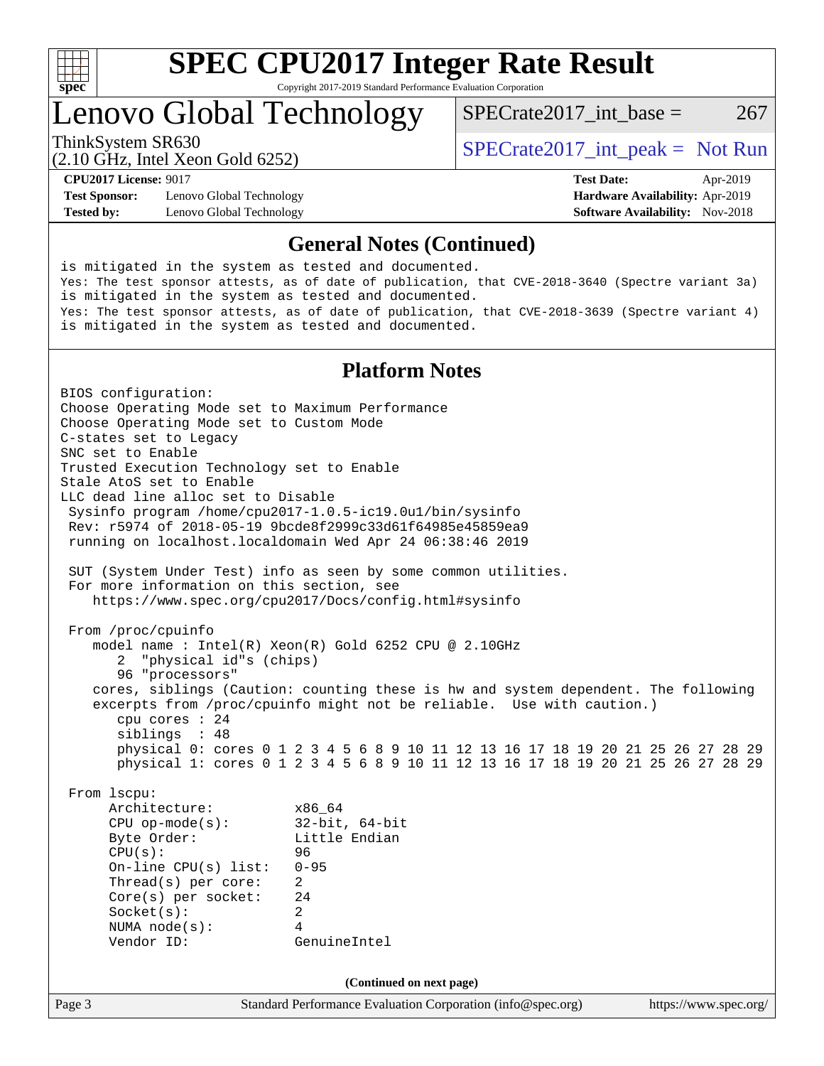

Lenovo Global Technology

ThinkSystem SR630<br>  $SPECTA = Not Run$ <br>  $SPECTA = Not Run$ 

SPECrate2017 int\_base =  $267$ 

**[Test Sponsor:](http://www.spec.org/auto/cpu2017/Docs/result-fields.html#TestSponsor)** Lenovo Global Technology **[Hardware Availability:](http://www.spec.org/auto/cpu2017/Docs/result-fields.html#HardwareAvailability)** Apr-2019 **[Tested by:](http://www.spec.org/auto/cpu2017/Docs/result-fields.html#Testedby)** Lenovo Global Technology **[Software Availability:](http://www.spec.org/auto/cpu2017/Docs/result-fields.html#SoftwareAvailability)** Nov-2018

(2.10 GHz, Intel Xeon Gold 6252)

**[CPU2017 License:](http://www.spec.org/auto/cpu2017/Docs/result-fields.html#CPU2017License)** 9017 **[Test Date:](http://www.spec.org/auto/cpu2017/Docs/result-fields.html#TestDate)** Apr-2019

#### **[General Notes \(Continued\)](http://www.spec.org/auto/cpu2017/Docs/result-fields.html#GeneralNotes)**

is mitigated in the system as tested and documented. Yes: The test sponsor attests, as of date of publication, that CVE-2018-3640 (Spectre variant 3a) is mitigated in the system as tested and documented. Yes: The test sponsor attests, as of date of publication, that CVE-2018-3639 (Spectre variant 4) is mitigated in the system as tested and documented.

#### **[Platform Notes](http://www.spec.org/auto/cpu2017/Docs/result-fields.html#PlatformNotes)**

Page 3 Standard Performance Evaluation Corporation [\(info@spec.org\)](mailto:info@spec.org) <https://www.spec.org/> BIOS configuration: Choose Operating Mode set to Maximum Performance Choose Operating Mode set to Custom Mode C-states set to Legacy SNC set to Enable Trusted Execution Technology set to Enable Stale AtoS set to Enable LLC dead line alloc set to Disable Sysinfo program /home/cpu2017-1.0.5-ic19.0u1/bin/sysinfo Rev: r5974 of 2018-05-19 9bcde8f2999c33d61f64985e45859ea9 running on localhost.localdomain Wed Apr 24 06:38:46 2019 SUT (System Under Test) info as seen by some common utilities. For more information on this section, see <https://www.spec.org/cpu2017/Docs/config.html#sysinfo> From /proc/cpuinfo model name : Intel(R) Xeon(R) Gold 6252 CPU @ 2.10GHz 2 "physical id"s (chips) 96 "processors" cores, siblings (Caution: counting these is hw and system dependent. The following excerpts from /proc/cpuinfo might not be reliable. Use with caution.) cpu cores : 24 siblings : 48 physical 0: cores 0 1 2 3 4 5 6 8 9 10 11 12 13 16 17 18 19 20 21 25 26 27 28 29 physical 1: cores 0 1 2 3 4 5 6 8 9 10 11 12 13 16 17 18 19 20 21 25 26 27 28 29 From lscpu: Architecture: x86\_64 CPU op-mode(s): 32-bit, 64-bit Byte Order: Little Endian CPU(s): 96 On-line CPU(s) list: 0-95 Thread(s) per core: 2 Core(s) per socket: 24 Socket(s): 2 NUMA node(s): 4 Vendor ID: GenuineIntel **(Continued on next page)**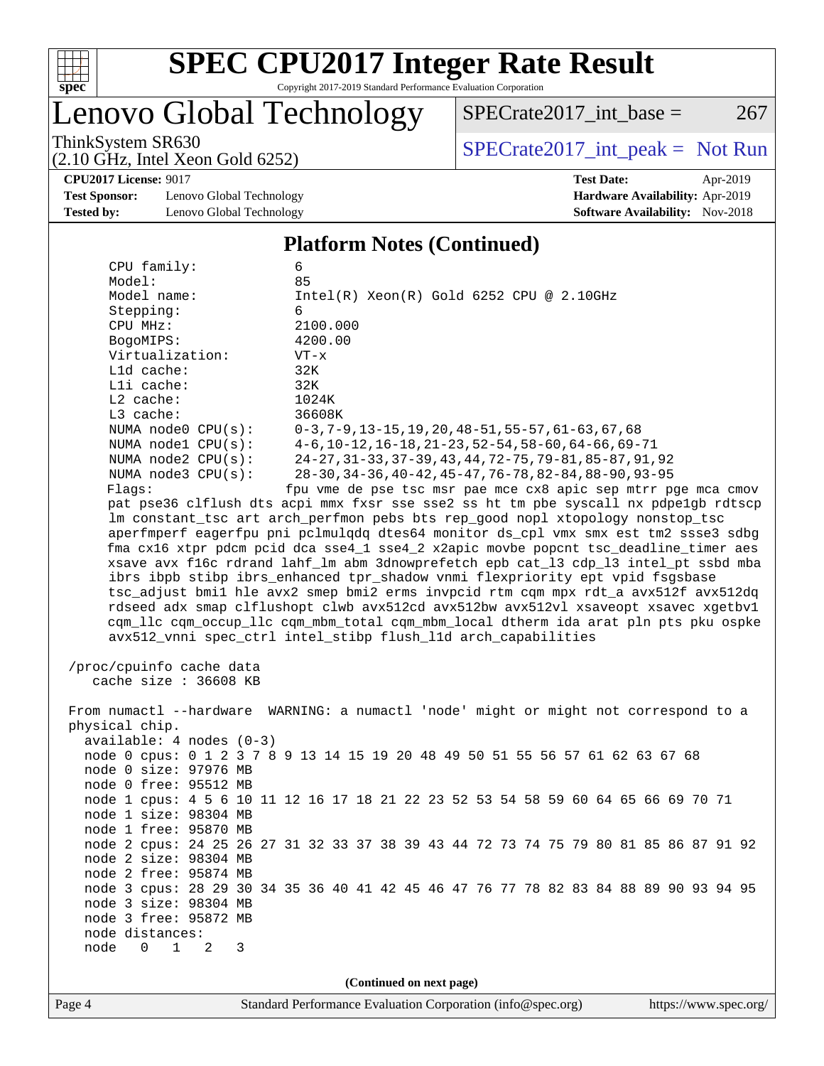

Lenovo Global Technology

ThinkSystem SR630<br>  $(2.10 \text{ GHz. Intel } Y_{\text{QCD}}$  Gold 6252)  $SPECTate2017\_int\_base = 267$ 

(2.10 GHz, Intel Xeon Gold 6252)

**[CPU2017 License:](http://www.spec.org/auto/cpu2017/Docs/result-fields.html#CPU2017License)** 9017 **[Test Date:](http://www.spec.org/auto/cpu2017/Docs/result-fields.html#TestDate)** Apr-2019

**[Test Sponsor:](http://www.spec.org/auto/cpu2017/Docs/result-fields.html#TestSponsor)** Lenovo Global Technology **[Hardware Availability:](http://www.spec.org/auto/cpu2017/Docs/result-fields.html#HardwareAvailability)** Apr-2019 **[Tested by:](http://www.spec.org/auto/cpu2017/Docs/result-fields.html#Testedby)** Lenovo Global Technology **[Software Availability:](http://www.spec.org/auto/cpu2017/Docs/result-fields.html#SoftwareAvailability)** Nov-2018

#### **[Platform Notes \(Continued\)](http://www.spec.org/auto/cpu2017/Docs/result-fields.html#PlatformNotes)**

| CPU family:<br>Model:                     | 6<br>85                                                                              |  |  |  |  |  |
|-------------------------------------------|--------------------------------------------------------------------------------------|--|--|--|--|--|
| Model name:                               |                                                                                      |  |  |  |  |  |
|                                           | $Intel(R) Xeon(R) Gold 6252 CPU @ 2.10GHz$<br>6                                      |  |  |  |  |  |
| Stepping:                                 | 2100.000                                                                             |  |  |  |  |  |
| CPU MHz:                                  | 4200.00                                                                              |  |  |  |  |  |
| BogoMIPS:                                 |                                                                                      |  |  |  |  |  |
| Virtualization:                           | $VT - x$                                                                             |  |  |  |  |  |
| L1d cache:                                | 32K                                                                                  |  |  |  |  |  |
| Lli cache:                                | 32K                                                                                  |  |  |  |  |  |
| L2 cache:                                 | 1024K                                                                                |  |  |  |  |  |
| L3 cache:                                 | 36608K                                                                               |  |  |  |  |  |
| NUMA node0 CPU(s):                        | $0-3, 7-9, 13-15, 19, 20, 48-51, 55-57, 61-63, 67, 68$                               |  |  |  |  |  |
| NUMA $node1$ $CPU(s):$                    | $4-6, 10-12, 16-18, 21-23, 52-54, 58-60, 64-66, 69-71$                               |  |  |  |  |  |
| NUMA $node2$ $CPU(s)$ :                   | 24-27, 31-33, 37-39, 43, 44, 72-75, 79-81, 85-87, 91, 92                             |  |  |  |  |  |
| NUMA $node3$ $CPU(s):$                    | 28-30, 34-36, 40-42, 45-47, 76-78, 82-84, 88-90, 93-95                               |  |  |  |  |  |
| Flagg:                                    | fpu vme de pse tsc msr pae mce cx8 apic sep mtrr pge mca cmov                        |  |  |  |  |  |
|                                           | pat pse36 clflush dts acpi mmx fxsr sse sse2 ss ht tm pbe syscall nx pdpelgb rdtscp  |  |  |  |  |  |
|                                           | lm constant_tsc art arch_perfmon pebs bts rep_good nopl xtopology nonstop_tsc        |  |  |  |  |  |
|                                           | aperfmperf eagerfpu pni pclmulqdq dtes64 monitor ds_cpl vmx smx est tm2 ssse3 sdbg   |  |  |  |  |  |
|                                           | fma cx16 xtpr pdcm pcid dca sse4_1 sse4_2 x2apic movbe popcnt tsc_deadline_timer aes |  |  |  |  |  |
|                                           | xsave avx f16c rdrand lahf_lm abm 3dnowprefetch epb cat_13 cdp_13 intel_pt ssbd mba  |  |  |  |  |  |
|                                           | ibrs ibpb stibp ibrs_enhanced tpr_shadow vnmi flexpriority ept vpid fsgsbase         |  |  |  |  |  |
|                                           | tsc_adjust bmil hle avx2 smep bmi2 erms invpcid rtm cqm mpx rdt_a avx512f avx512dq   |  |  |  |  |  |
|                                           | rdseed adx smap clflushopt clwb avx512cd avx512bw avx512vl xsaveopt xsavec xgetbvl   |  |  |  |  |  |
|                                           | cqm_llc cqm_occup_llc cqm_mbm_total cqm_mbm_local dtherm ida arat pln pts pku ospke  |  |  |  |  |  |
|                                           | avx512_vnni spec_ctrl intel_stibp flush_l1d arch_capabilities                        |  |  |  |  |  |
|                                           |                                                                                      |  |  |  |  |  |
| /proc/cpuinfo cache data                  |                                                                                      |  |  |  |  |  |
| cache size : 36608 KB                     |                                                                                      |  |  |  |  |  |
|                                           |                                                                                      |  |  |  |  |  |
|                                           | From numactl --hardware WARNING: a numactl 'node' might or might not correspond to a |  |  |  |  |  |
| physical chip.                            |                                                                                      |  |  |  |  |  |
| $available: 4 nodes (0-3)$                |                                                                                      |  |  |  |  |  |
|                                           | node 0 cpus: 0 1 2 3 7 8 9 13 14 15 19 20 48 49 50 51 55 56 57 61 62 63 67 68        |  |  |  |  |  |
| node 0 size: 97976 MB                     |                                                                                      |  |  |  |  |  |
| node 0 free: 95512 MB                     |                                                                                      |  |  |  |  |  |
|                                           | node 1 cpus: 4 5 6 10 11 12 16 17 18 21 22 23 52 53 54 58 59 60 64 65 66 69 70 71    |  |  |  |  |  |
| node 1 size: 98304 MB                     |                                                                                      |  |  |  |  |  |
| node 1 free: 95870 MB                     |                                                                                      |  |  |  |  |  |
|                                           | node 2 cpus: 24 25 26 27 31 32 33 37 38 39 43 44 72 73 74 75 79 80 81 85 86 87 91 92 |  |  |  |  |  |
| node 2 size: 98304 MB                     |                                                                                      |  |  |  |  |  |
| node 2 free: 95874 MB                     |                                                                                      |  |  |  |  |  |
|                                           | node 3 cpus: 28 29 30 34 35 36 40 41 42 45 46 47 76 77 78 82 83 84 88 89 90 93 94 95 |  |  |  |  |  |
| node 3 size: 98304 MB                     |                                                                                      |  |  |  |  |  |
| node 3 free: 95872 MB                     |                                                                                      |  |  |  |  |  |
| node distances:                           |                                                                                      |  |  |  |  |  |
| node<br>$0\quad 1$<br>$\overline{2}$<br>3 |                                                                                      |  |  |  |  |  |
|                                           |                                                                                      |  |  |  |  |  |
|                                           |                                                                                      |  |  |  |  |  |
| (Continued on next page)                  |                                                                                      |  |  |  |  |  |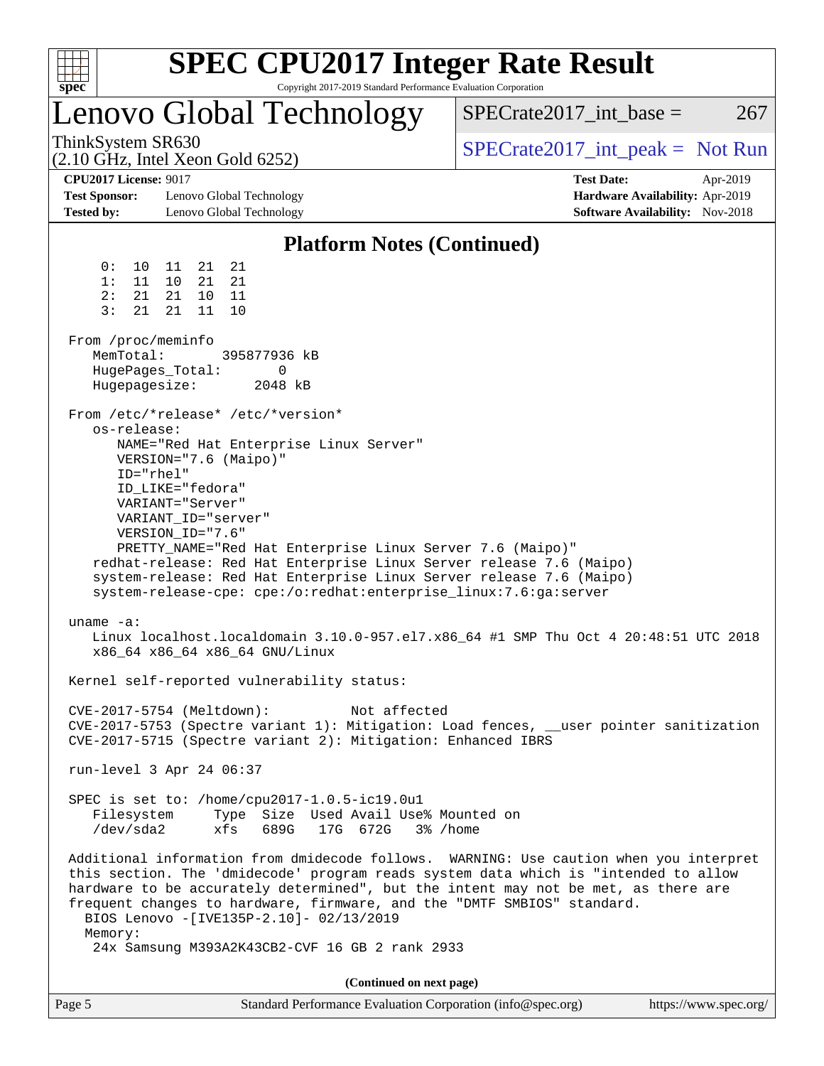|                                                                           | <b>SPEC CPU2017 Integer Rate Result</b>                                                                                                                                                                                                                                                                                                                                                                                                                                 |                                                                                                     |
|---------------------------------------------------------------------------|-------------------------------------------------------------------------------------------------------------------------------------------------------------------------------------------------------------------------------------------------------------------------------------------------------------------------------------------------------------------------------------------------------------------------------------------------------------------------|-----------------------------------------------------------------------------------------------------|
| spec <sup>®</sup>                                                         | Copyright 2017-2019 Standard Performance Evaluation Corporation<br>Lenovo Global Technology                                                                                                                                                                                                                                                                                                                                                                             | $SPECrate2017\_int\_base =$<br>267                                                                  |
| ThinkSystem SR630                                                         | $(2.10 \text{ GHz}, \text{Intel Xeon Gold } 6252)$                                                                                                                                                                                                                                                                                                                                                                                                                      | $SPECrate2017\_int\_peak = Not Run$                                                                 |
| <b>CPU2017 License: 9017</b><br><b>Test Sponsor:</b><br><b>Tested by:</b> | Lenovo Global Technology<br>Lenovo Global Technology                                                                                                                                                                                                                                                                                                                                                                                                                    | <b>Test Date:</b><br>Apr-2019<br>Hardware Availability: Apr-2019<br>Software Availability: Nov-2018 |
|                                                                           | <b>Platform Notes (Continued)</b>                                                                                                                                                                                                                                                                                                                                                                                                                                       |                                                                                                     |
| 0 :<br>10<br>1:<br>11<br>2:<br>21<br>3:<br>21<br>From /proc/meminfo       | 21<br>21<br>11<br>10<br>21<br>21<br>21<br>10<br>11<br>21<br>11<br>10                                                                                                                                                                                                                                                                                                                                                                                                    |                                                                                                     |
| MemTotal:<br>Hugepagesize:                                                | 395877936 kB<br>HugePages_Total:<br>0<br>2048 kB                                                                                                                                                                                                                                                                                                                                                                                                                        |                                                                                                     |
| os-release:<br>ID="rhel"                                                  | From /etc/*release* /etc/*version*<br>NAME="Red Hat Enterprise Linux Server"<br>VERSION="7.6 (Maipo)"<br>ID_LIKE="fedora"<br>VARIANT="Server"<br>VARIANT_ID="server"<br>VERSION_ID="7.6"<br>PRETTY_NAME="Red Hat Enterprise Linux Server 7.6 (Maipo)"<br>redhat-release: Red Hat Enterprise Linux Server release 7.6 (Maipo)<br>system-release: Red Hat Enterprise Linux Server release 7.6 (Maipo)<br>system-release-cpe: cpe:/o:redhat:enterprise_linux:7.6:ga:server |                                                                                                     |
| uname $-a$ :                                                              | x86_64 x86_64 x86_64 GNU/Linux                                                                                                                                                                                                                                                                                                                                                                                                                                          | Linux localhost.localdomain 3.10.0-957.el7.x86_64 #1 SMP Thu Oct 4 20:48:51 UTC 2018                |
|                                                                           | Kernel self-reported vulnerability status:<br>CVE-2017-5754 (Meltdown):<br>Not affected<br>CVE-2017-5715 (Spectre variant 2): Mitigation: Enhanced IBRS                                                                                                                                                                                                                                                                                                                 | CVE-2017-5753 (Spectre variant 1): Mitigation: Load fences, __user pointer sanitization             |
|                                                                           | run-level 3 Apr 24 06:37                                                                                                                                                                                                                                                                                                                                                                                                                                                |                                                                                                     |
| Filesystem<br>/dev/sda2                                                   | SPEC is set to: /home/cpu2017-1.0.5-ic19.0u1<br>Type Size Used Avail Use% Mounted on<br>689G<br>17G 672G 3% / home<br>xfs                                                                                                                                                                                                                                                                                                                                               |                                                                                                     |
| Memory:                                                                   | this section. The 'dmidecode' program reads system data which is "intended to allow<br>hardware to be accurately determined", but the intent may not be met, as there are<br>frequent changes to hardware, firmware, and the "DMTF SMBIOS" standard.<br>BIOS Lenovo - [IVE135P-2.10]- 02/13/2019                                                                                                                                                                        | Additional information from dmidecode follows. WARNING: Use caution when you interpret              |
|                                                                           | 24x Samsung M393A2K43CB2-CVF 16 GB 2 rank 2933                                                                                                                                                                                                                                                                                                                                                                                                                          |                                                                                                     |
|                                                                           | (Continued on next page)                                                                                                                                                                                                                                                                                                                                                                                                                                                |                                                                                                     |

| Page 5 | Standard Performance Evaluation Corporation (info@spec.org) | https://www.spec.org/ |
|--------|-------------------------------------------------------------|-----------------------|
|        |                                                             |                       |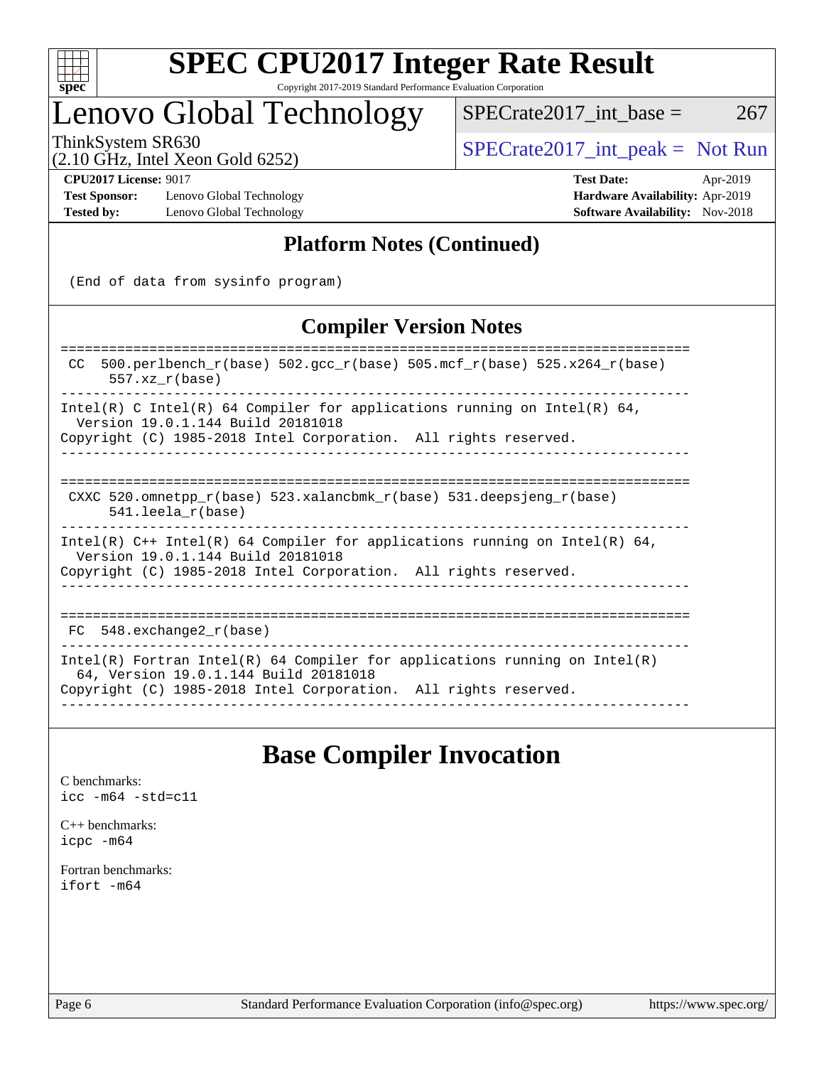

# Lenovo Global Technology

ThinkSystem SR630<br>  $\begin{array}{r} \text{SPECTA} = \text{Not Run} \\ \text{SPECTA} = \text{Not Run} \end{array}$ 

 $SPECTate2017\_int\_base = 267$ 

# (2.10 GHz, Intel Xeon Gold 6252)

**[Test Sponsor:](http://www.spec.org/auto/cpu2017/Docs/result-fields.html#TestSponsor)** Lenovo Global Technology **[Hardware Availability:](http://www.spec.org/auto/cpu2017/Docs/result-fields.html#HardwareAvailability)** Apr-2019 **[Tested by:](http://www.spec.org/auto/cpu2017/Docs/result-fields.html#Testedby)** Lenovo Global Technology **[Software Availability:](http://www.spec.org/auto/cpu2017/Docs/result-fields.html#SoftwareAvailability)** Nov-2018

**[CPU2017 License:](http://www.spec.org/auto/cpu2017/Docs/result-fields.html#CPU2017License)** 9017 **[Test Date:](http://www.spec.org/auto/cpu2017/Docs/result-fields.html#TestDate)** Apr-2019

## **[Platform Notes \(Continued\)](http://www.spec.org/auto/cpu2017/Docs/result-fields.html#PlatformNotes)**

(End of data from sysinfo program)

### **[Compiler Version Notes](http://www.spec.org/auto/cpu2017/Docs/result-fields.html#CompilerVersionNotes)**

| $500. perlbench_r(base) 502. gcc_r(base) 505. mcf_r(base) 525. x264_r(base)$<br>CC.<br>$557.xx$ $r(base)$                                                                              |  |  |  |  |  |  |
|----------------------------------------------------------------------------------------------------------------------------------------------------------------------------------------|--|--|--|--|--|--|
| Intel(R) C Intel(R) 64 Compiler for applications running on Intel(R) 64,<br>Version 19.0.1.144 Build 20181018<br>Copyright (C) 1985-2018 Intel Corporation. All rights reserved.       |  |  |  |  |  |  |
|                                                                                                                                                                                        |  |  |  |  |  |  |
| CXXC 520.omnetpp $r(base)$ 523.xalancbmk $r(base)$ 531.deepsjeng $r(base)$<br>$541.$ leela r(base)                                                                                     |  |  |  |  |  |  |
| Intel(R) $C++$ Intel(R) 64 Compiler for applications running on Intel(R) 64,<br>Version 19.0.1.144 Build 20181018<br>Copyright (C) 1985-2018 Intel Corporation. All rights reserved.   |  |  |  |  |  |  |
| FC 548. exchange2 r(base)                                                                                                                                                              |  |  |  |  |  |  |
| Intel(R) Fortran Intel(R) 64 Compiler for applications running on Intel(R)<br>64, Version 19.0.1.144 Build 20181018<br>Copyright (C) 1985-2018 Intel Corporation. All rights reserved. |  |  |  |  |  |  |

## **[Base Compiler Invocation](http://www.spec.org/auto/cpu2017/Docs/result-fields.html#BaseCompilerInvocation)**

[C benchmarks](http://www.spec.org/auto/cpu2017/Docs/result-fields.html#Cbenchmarks): [icc -m64 -std=c11](http://www.spec.org/cpu2017/results/res2019q2/cpu2017-20190429-12960.flags.html#user_CCbase_intel_icc_64bit_c11_33ee0cdaae7deeeab2a9725423ba97205ce30f63b9926c2519791662299b76a0318f32ddfffdc46587804de3178b4f9328c46fa7c2b0cd779d7a61945c91cd35)

[C++ benchmarks:](http://www.spec.org/auto/cpu2017/Docs/result-fields.html#CXXbenchmarks) [icpc -m64](http://www.spec.org/cpu2017/results/res2019q2/cpu2017-20190429-12960.flags.html#user_CXXbase_intel_icpc_64bit_4ecb2543ae3f1412ef961e0650ca070fec7b7afdcd6ed48761b84423119d1bf6bdf5cad15b44d48e7256388bc77273b966e5eb805aefd121eb22e9299b2ec9d9)

[Fortran benchmarks](http://www.spec.org/auto/cpu2017/Docs/result-fields.html#Fortranbenchmarks): [ifort -m64](http://www.spec.org/cpu2017/results/res2019q2/cpu2017-20190429-12960.flags.html#user_FCbase_intel_ifort_64bit_24f2bb282fbaeffd6157abe4f878425411749daecae9a33200eee2bee2fe76f3b89351d69a8130dd5949958ce389cf37ff59a95e7a40d588e8d3a57e0c3fd751)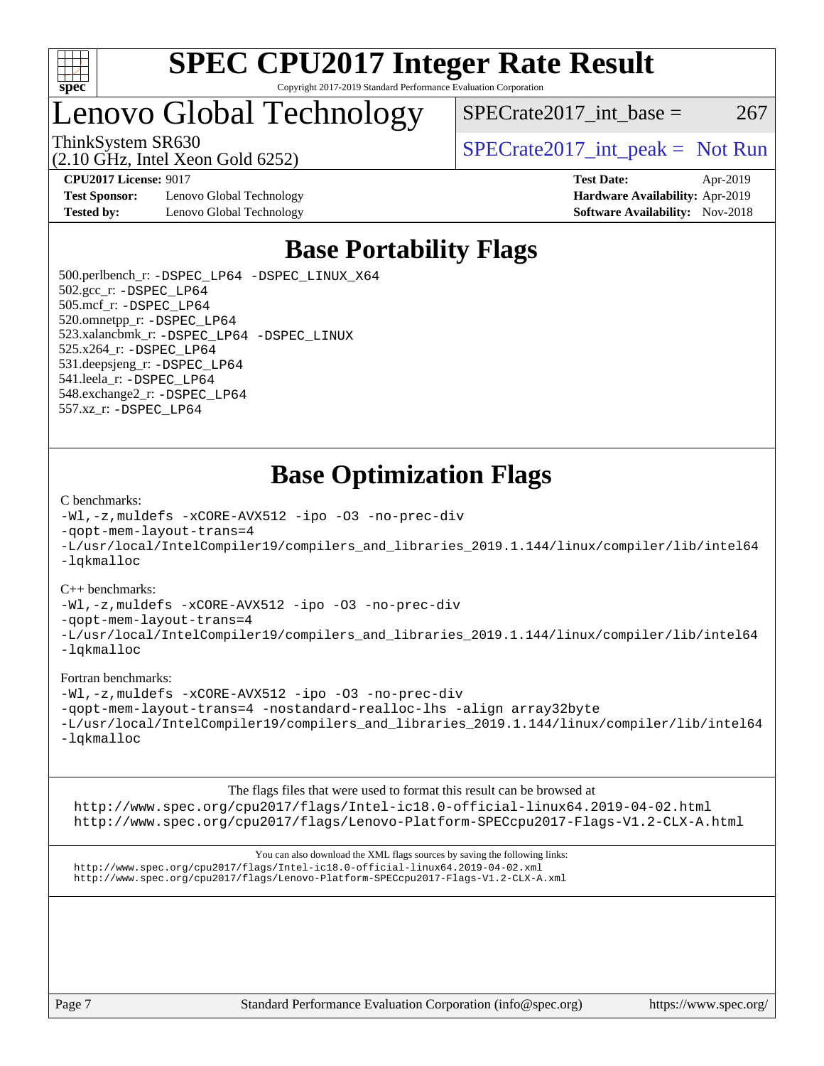

# Lenovo Global Technology

ThinkSystem SR630  $SPECrate2017$ \_int\_peak = Not Run

(2.10 GHz, Intel Xeon Gold 6252)

**[Test Sponsor:](http://www.spec.org/auto/cpu2017/Docs/result-fields.html#TestSponsor)** Lenovo Global Technology **[Hardware Availability:](http://www.spec.org/auto/cpu2017/Docs/result-fields.html#HardwareAvailability)** Apr-2019 **[Tested by:](http://www.spec.org/auto/cpu2017/Docs/result-fields.html#Testedby)** Lenovo Global Technology **[Software Availability:](http://www.spec.org/auto/cpu2017/Docs/result-fields.html#SoftwareAvailability)** Nov-2018

 $SPECTate2017\_int\_base = 267$ 

**[CPU2017 License:](http://www.spec.org/auto/cpu2017/Docs/result-fields.html#CPU2017License)** 9017 **[Test Date:](http://www.spec.org/auto/cpu2017/Docs/result-fields.html#TestDate)** Apr-2019

## **[Base Portability Flags](http://www.spec.org/auto/cpu2017/Docs/result-fields.html#BasePortabilityFlags)**

 500.perlbench\_r: [-DSPEC\\_LP64](http://www.spec.org/cpu2017/results/res2019q2/cpu2017-20190429-12960.flags.html#b500.perlbench_r_basePORTABILITY_DSPEC_LP64) [-DSPEC\\_LINUX\\_X64](http://www.spec.org/cpu2017/results/res2019q2/cpu2017-20190429-12960.flags.html#b500.perlbench_r_baseCPORTABILITY_DSPEC_LINUX_X64) 502.gcc\_r: [-DSPEC\\_LP64](http://www.spec.org/cpu2017/results/res2019q2/cpu2017-20190429-12960.flags.html#suite_basePORTABILITY502_gcc_r_DSPEC_LP64) 505.mcf\_r: [-DSPEC\\_LP64](http://www.spec.org/cpu2017/results/res2019q2/cpu2017-20190429-12960.flags.html#suite_basePORTABILITY505_mcf_r_DSPEC_LP64) 520.omnetpp\_r: [-DSPEC\\_LP64](http://www.spec.org/cpu2017/results/res2019q2/cpu2017-20190429-12960.flags.html#suite_basePORTABILITY520_omnetpp_r_DSPEC_LP64) 523.xalancbmk\_r: [-DSPEC\\_LP64](http://www.spec.org/cpu2017/results/res2019q2/cpu2017-20190429-12960.flags.html#suite_basePORTABILITY523_xalancbmk_r_DSPEC_LP64) [-DSPEC\\_LINUX](http://www.spec.org/cpu2017/results/res2019q2/cpu2017-20190429-12960.flags.html#b523.xalancbmk_r_baseCXXPORTABILITY_DSPEC_LINUX) 525.x264\_r: [-DSPEC\\_LP64](http://www.spec.org/cpu2017/results/res2019q2/cpu2017-20190429-12960.flags.html#suite_basePORTABILITY525_x264_r_DSPEC_LP64) 531.deepsjeng\_r: [-DSPEC\\_LP64](http://www.spec.org/cpu2017/results/res2019q2/cpu2017-20190429-12960.flags.html#suite_basePORTABILITY531_deepsjeng_r_DSPEC_LP64) 541.leela\_r: [-DSPEC\\_LP64](http://www.spec.org/cpu2017/results/res2019q2/cpu2017-20190429-12960.flags.html#suite_basePORTABILITY541_leela_r_DSPEC_LP64) 548.exchange2\_r: [-DSPEC\\_LP64](http://www.spec.org/cpu2017/results/res2019q2/cpu2017-20190429-12960.flags.html#suite_basePORTABILITY548_exchange2_r_DSPEC_LP64) 557.xz\_r: [-DSPEC\\_LP64](http://www.spec.org/cpu2017/results/res2019q2/cpu2017-20190429-12960.flags.html#suite_basePORTABILITY557_xz_r_DSPEC_LP64)

## **[Base Optimization Flags](http://www.spec.org/auto/cpu2017/Docs/result-fields.html#BaseOptimizationFlags)**

#### [C benchmarks](http://www.spec.org/auto/cpu2017/Docs/result-fields.html#Cbenchmarks):

[-Wl,-z,muldefs](http://www.spec.org/cpu2017/results/res2019q2/cpu2017-20190429-12960.flags.html#user_CCbase_link_force_multiple1_b4cbdb97b34bdee9ceefcfe54f4c8ea74255f0b02a4b23e853cdb0e18eb4525ac79b5a88067c842dd0ee6996c24547a27a4b99331201badda8798ef8a743f577) [-xCORE-AVX512](http://www.spec.org/cpu2017/results/res2019q2/cpu2017-20190429-12960.flags.html#user_CCbase_f-xCORE-AVX512) [-ipo](http://www.spec.org/cpu2017/results/res2019q2/cpu2017-20190429-12960.flags.html#user_CCbase_f-ipo) [-O3](http://www.spec.org/cpu2017/results/res2019q2/cpu2017-20190429-12960.flags.html#user_CCbase_f-O3) [-no-prec-div](http://www.spec.org/cpu2017/results/res2019q2/cpu2017-20190429-12960.flags.html#user_CCbase_f-no-prec-div) [-qopt-mem-layout-trans=4](http://www.spec.org/cpu2017/results/res2019q2/cpu2017-20190429-12960.flags.html#user_CCbase_f-qopt-mem-layout-trans_fa39e755916c150a61361b7846f310bcdf6f04e385ef281cadf3647acec3f0ae266d1a1d22d972a7087a248fd4e6ca390a3634700869573d231a252c784941a8) [-L/usr/local/IntelCompiler19/compilers\\_and\\_libraries\\_2019.1.144/linux/compiler/lib/intel64](http://www.spec.org/cpu2017/results/res2019q2/cpu2017-20190429-12960.flags.html#user_CCbase_qkmalloc_link_f25da0aa8cf9bced0533715046f0c2fbfb1a7191e3e496916672e09b4c388a884c4c7e4862cb529343da2264b43416df65c99fd1ddbf5dd13ae6d3130cf47881) [-lqkmalloc](http://www.spec.org/cpu2017/results/res2019q2/cpu2017-20190429-12960.flags.html#user_CCbase_qkmalloc_link_lib_79a818439969f771c6bc311cfd333c00fc099dad35c030f5aab9dda831713d2015205805422f83de8875488a2991c0a156aaa600e1f9138f8fc37004abc96dc5)

#### [C++ benchmarks](http://www.spec.org/auto/cpu2017/Docs/result-fields.html#CXXbenchmarks):

[-Wl,-z,muldefs](http://www.spec.org/cpu2017/results/res2019q2/cpu2017-20190429-12960.flags.html#user_CXXbase_link_force_multiple1_b4cbdb97b34bdee9ceefcfe54f4c8ea74255f0b02a4b23e853cdb0e18eb4525ac79b5a88067c842dd0ee6996c24547a27a4b99331201badda8798ef8a743f577) [-xCORE-AVX512](http://www.spec.org/cpu2017/results/res2019q2/cpu2017-20190429-12960.flags.html#user_CXXbase_f-xCORE-AVX512) [-ipo](http://www.spec.org/cpu2017/results/res2019q2/cpu2017-20190429-12960.flags.html#user_CXXbase_f-ipo) [-O3](http://www.spec.org/cpu2017/results/res2019q2/cpu2017-20190429-12960.flags.html#user_CXXbase_f-O3) [-no-prec-div](http://www.spec.org/cpu2017/results/res2019q2/cpu2017-20190429-12960.flags.html#user_CXXbase_f-no-prec-div)

[-qopt-mem-layout-trans=4](http://www.spec.org/cpu2017/results/res2019q2/cpu2017-20190429-12960.flags.html#user_CXXbase_f-qopt-mem-layout-trans_fa39e755916c150a61361b7846f310bcdf6f04e385ef281cadf3647acec3f0ae266d1a1d22d972a7087a248fd4e6ca390a3634700869573d231a252c784941a8)

[-L/usr/local/IntelCompiler19/compilers\\_and\\_libraries\\_2019.1.144/linux/compiler/lib/intel64](http://www.spec.org/cpu2017/results/res2019q2/cpu2017-20190429-12960.flags.html#user_CXXbase_qkmalloc_link_f25da0aa8cf9bced0533715046f0c2fbfb1a7191e3e496916672e09b4c388a884c4c7e4862cb529343da2264b43416df65c99fd1ddbf5dd13ae6d3130cf47881) [-lqkmalloc](http://www.spec.org/cpu2017/results/res2019q2/cpu2017-20190429-12960.flags.html#user_CXXbase_qkmalloc_link_lib_79a818439969f771c6bc311cfd333c00fc099dad35c030f5aab9dda831713d2015205805422f83de8875488a2991c0a156aaa600e1f9138f8fc37004abc96dc5)

#### [Fortran benchmarks](http://www.spec.org/auto/cpu2017/Docs/result-fields.html#Fortranbenchmarks):

[-Wl,-z,muldefs](http://www.spec.org/cpu2017/results/res2019q2/cpu2017-20190429-12960.flags.html#user_FCbase_link_force_multiple1_b4cbdb97b34bdee9ceefcfe54f4c8ea74255f0b02a4b23e853cdb0e18eb4525ac79b5a88067c842dd0ee6996c24547a27a4b99331201badda8798ef8a743f577) [-xCORE-AVX512](http://www.spec.org/cpu2017/results/res2019q2/cpu2017-20190429-12960.flags.html#user_FCbase_f-xCORE-AVX512) [-ipo](http://www.spec.org/cpu2017/results/res2019q2/cpu2017-20190429-12960.flags.html#user_FCbase_f-ipo) [-O3](http://www.spec.org/cpu2017/results/res2019q2/cpu2017-20190429-12960.flags.html#user_FCbase_f-O3) [-no-prec-div](http://www.spec.org/cpu2017/results/res2019q2/cpu2017-20190429-12960.flags.html#user_FCbase_f-no-prec-div) [-qopt-mem-layout-trans=4](http://www.spec.org/cpu2017/results/res2019q2/cpu2017-20190429-12960.flags.html#user_FCbase_f-qopt-mem-layout-trans_fa39e755916c150a61361b7846f310bcdf6f04e385ef281cadf3647acec3f0ae266d1a1d22d972a7087a248fd4e6ca390a3634700869573d231a252c784941a8) [-nostandard-realloc-lhs](http://www.spec.org/cpu2017/results/res2019q2/cpu2017-20190429-12960.flags.html#user_FCbase_f_2003_std_realloc_82b4557e90729c0f113870c07e44d33d6f5a304b4f63d4c15d2d0f1fab99f5daaed73bdb9275d9ae411527f28b936061aa8b9c8f2d63842963b95c9dd6426b8a) [-align array32byte](http://www.spec.org/cpu2017/results/res2019q2/cpu2017-20190429-12960.flags.html#user_FCbase_align_array32byte_b982fe038af199962ba9a80c053b8342c548c85b40b8e86eb3cc33dee0d7986a4af373ac2d51c3f7cf710a18d62fdce2948f201cd044323541f22fc0fffc51b6) [-L/usr/local/IntelCompiler19/compilers\\_and\\_libraries\\_2019.1.144/linux/compiler/lib/intel64](http://www.spec.org/cpu2017/results/res2019q2/cpu2017-20190429-12960.flags.html#user_FCbase_qkmalloc_link_f25da0aa8cf9bced0533715046f0c2fbfb1a7191e3e496916672e09b4c388a884c4c7e4862cb529343da2264b43416df65c99fd1ddbf5dd13ae6d3130cf47881) [-lqkmalloc](http://www.spec.org/cpu2017/results/res2019q2/cpu2017-20190429-12960.flags.html#user_FCbase_qkmalloc_link_lib_79a818439969f771c6bc311cfd333c00fc099dad35c030f5aab9dda831713d2015205805422f83de8875488a2991c0a156aaa600e1f9138f8fc37004abc96dc5)

The flags files that were used to format this result can be browsed at <http://www.spec.org/cpu2017/flags/Intel-ic18.0-official-linux64.2019-04-02.html> <http://www.spec.org/cpu2017/flags/Lenovo-Platform-SPECcpu2017-Flags-V1.2-CLX-A.html>

You can also download the XML flags sources by saving the following links: <http://www.spec.org/cpu2017/flags/Intel-ic18.0-official-linux64.2019-04-02.xml> <http://www.spec.org/cpu2017/flags/Lenovo-Platform-SPECcpu2017-Flags-V1.2-CLX-A.xml>